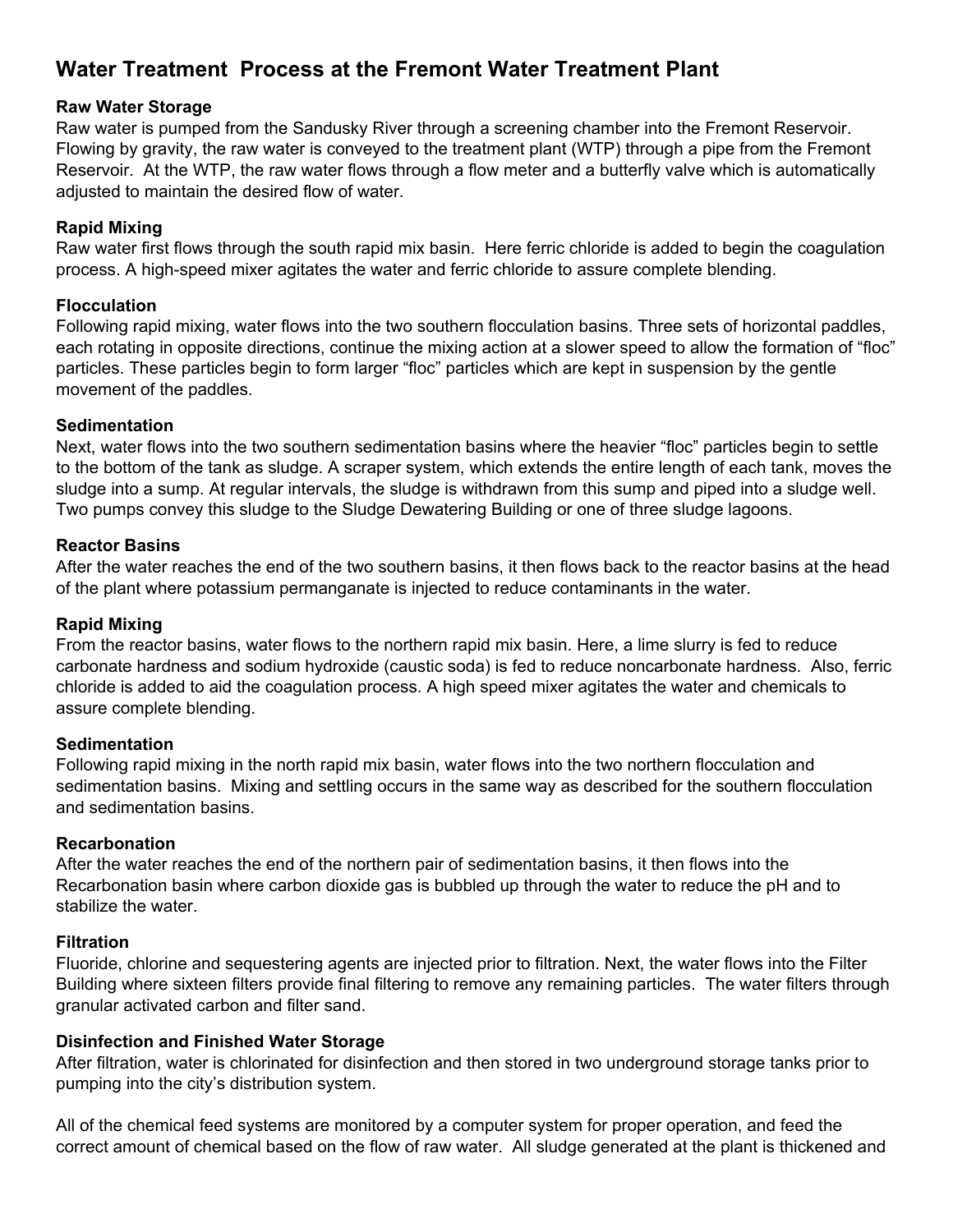# **Water Treatment Process at the Fremont Water Treatment Plant**

# **Raw Water Storage**

Raw water is pumped from the Sandusky River through a screening chamber into the Fremont Reservoir. Flowing by gravity, the raw water is conveyed to the treatment plant (WTP) through a pipe from the Fremont Reservoir. At the WTP, the raw water flows through a flow meter and a butterfly valve which is automatically adjusted to maintain the desired flow of water.

# **Rapid Mixing**

Raw water first flows through the south rapid mix basin. Here ferric chloride is added to begin the coagulation process. A high-speed mixer agitates the water and ferric chloride to assure complete blending.

# **Flocculation**

Following rapid mixing, water flows into the two southern flocculation basins. Three sets of horizontal paddles, each rotating in opposite directions, continue the mixing action at a slower speed to allow the formation of "floc" particles. These particles begin to form larger "floc" particles which are kept in suspension by the gentle movement of the paddles.

## **Sedimentation**

Next, water flows into the two southern sedimentation basins where the heavier "floc" particles begin to settle to the bottom of the tank as sludge. A scraper system, which extends the entire length of each tank, moves the sludge into a sump. At regular intervals, the sludge is withdrawn from this sump and piped into a sludge well. Two pumps convey this sludge to the Sludge Dewatering Building or one of three sludge lagoons.

## **Reactor Basins**

After the water reaches the end of the two southern basins, it then flows back to the reactor basins at the head of the plant where potassium permanganate is injected to reduce contaminants in the water.

# **Rapid Mixing**

From the reactor basins, water flows to the northern rapid mix basin. Here, a lime slurry is fed to reduce carbonate hardness and sodium hydroxide (caustic soda) is fed to reduce noncarbonate hardness. Also, ferric chloride is added to aid the coagulation process. A high speed mixer agitates the water and chemicals to assure complete blending.

## **Sedimentation**

Following rapid mixing in the north rapid mix basin, water flows into the two northern flocculation and sedimentation basins. Mixing and settling occurs in the same way as described for the southern flocculation and sedimentation basins.

## **Recarbonation**

After the water reaches the end of the northern pair of sedimentation basins, it then flows into the Recarbonation basin where carbon dioxide gas is bubbled up through the water to reduce the pH and to stabilize the water.

## **Filtration**

Fluoride, chlorine and sequestering agents are injected prior to filtration. Next, the water flows into the Filter Building where sixteen filters provide final filtering to remove any remaining particles. The water filters through granular activated carbon and filter sand.

# **Disinfection and Finished Water Storage**

After filtration, water is chlorinated for disinfection and then stored in two underground storage tanks prior to pumping into the city's distribution system.

All of the chemical feed systems are monitored by a computer system for proper operation, and feed the correct amount of chemical based on the flow of raw water. All sludge generated at the plant is thickened and